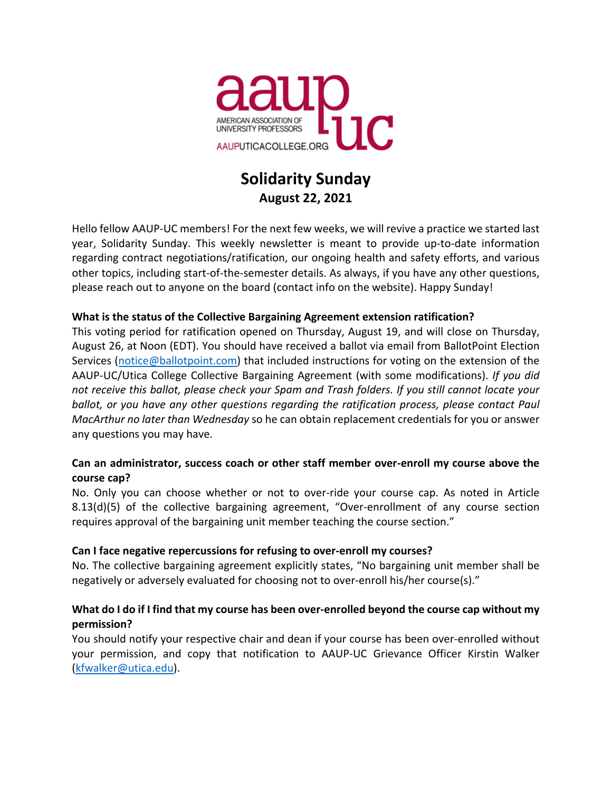

# **Solidarity Sunday August 22, 2021**

Hello fellow AAUP-UC members! For the next few weeks, we will revive a practice we started last year, Solidarity Sunday. This weekly newsletter is meant to provide up-to-date information regarding contract negotiations/ratification, our ongoing health and safety efforts, and various other topics, including start-of-the-semester details. As always, if you have any other questions, please reach out to anyone on the board (contact info on the website). Happy Sunday!

## **What is the status of the Collective Bargaining Agreement extension ratification?**

This voting period for ratification opened on Thursday, August 19, and will close on Thursday, August 26, at Noon (EDT). You should have received a ballot via email from BallotPoint Election Services (notice@ballotpoint.com) that included instructions for voting on the extension of the AAUP-UC/Utica College Collective Bargaining Agreement (with some modifications). *If you did not receive this ballot, please check your Spam and Trash folders. If you still cannot locate your ballot, or you have any other questions regarding the ratification process, please contact Paul MacArthur no later than Wednesday* so he can obtain replacement credentials for you or answer any questions you may have.

## **Can an administrator, success coach or other staff member over-enroll my course above the course cap?**

No. Only you can choose whether or not to over-ride your course cap. As noted in Article 8.13(d)(5) of the collective bargaining agreement, "Over-enrollment of any course section requires approval of the bargaining unit member teaching the course section."

#### **Can I face negative repercussions for refusing to over-enroll my courses?**

No. The collective bargaining agreement explicitly states, "No bargaining unit member shall be negatively or adversely evaluated for choosing not to over-enroll his/her course(s)."

## **What do I do if I find that my course has been over-enrolled beyond the course cap without my permission?**

You should notify your respective chair and dean if your course has been over-enrolled without your permission, and copy that notification to AAUP-UC Grievance Officer Kirstin Walker (kfwalker@utica.edu).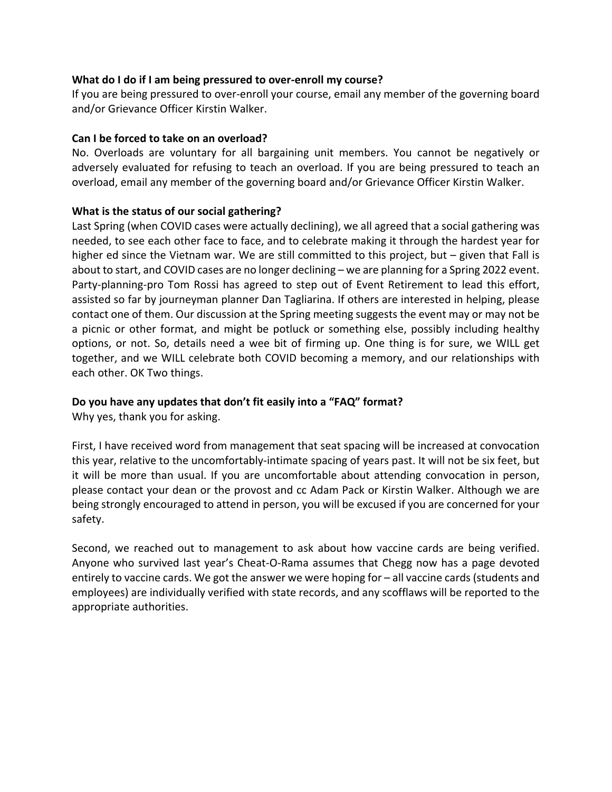#### **What do I do if I am being pressured to over-enroll my course?**

If you are being pressured to over-enroll your course, email any member of the governing board and/or Grievance Officer Kirstin Walker.

#### **Can I be forced to take on an overload?**

No. Overloads are voluntary for all bargaining unit members. You cannot be negatively or adversely evaluated for refusing to teach an overload. If you are being pressured to teach an overload, email any member of the governing board and/or Grievance Officer Kirstin Walker.

#### **What is the status of our social gathering?**

Last Spring (when COVID cases were actually declining), we all agreed that a social gathering was needed, to see each other face to face, and to celebrate making it through the hardest year for higher ed since the Vietnam war. We are still committed to this project, but – given that Fall is about to start, and COVID cases are no longer declining – we are planning for a Spring 2022 event. Party-planning-pro Tom Rossi has agreed to step out of Event Retirement to lead this effort, assisted so far by journeyman planner Dan Tagliarina. If others are interested in helping, please contact one of them. Our discussion at the Spring meeting suggests the event may or may not be a picnic or other format, and might be potluck or something else, possibly including healthy options, or not. So, details need a wee bit of firming up. One thing is for sure, we WILL get together, and we WILL celebrate both COVID becoming a memory, and our relationships with each other. OK Two things.

## **Do you have any updates that don't fit easily into a "FAQ" format?**

Why yes, thank you for asking.

First, I have received word from management that seat spacing will be increased at convocation this year, relative to the uncomfortably-intimate spacing of years past. It will not be six feet, but it will be more than usual. If you are uncomfortable about attending convocation in person, please contact your dean or the provost and cc Adam Pack or Kirstin Walker. Although we are being strongly encouraged to attend in person, you will be excused if you are concerned for your safety.

Second, we reached out to management to ask about how vaccine cards are being verified. Anyone who survived last year's Cheat-O-Rama assumes that Chegg now has a page devoted entirely to vaccine cards. We got the answer we were hoping for – all vaccine cards (students and employees) are individually verified with state records, and any scofflaws will be reported to the appropriate authorities.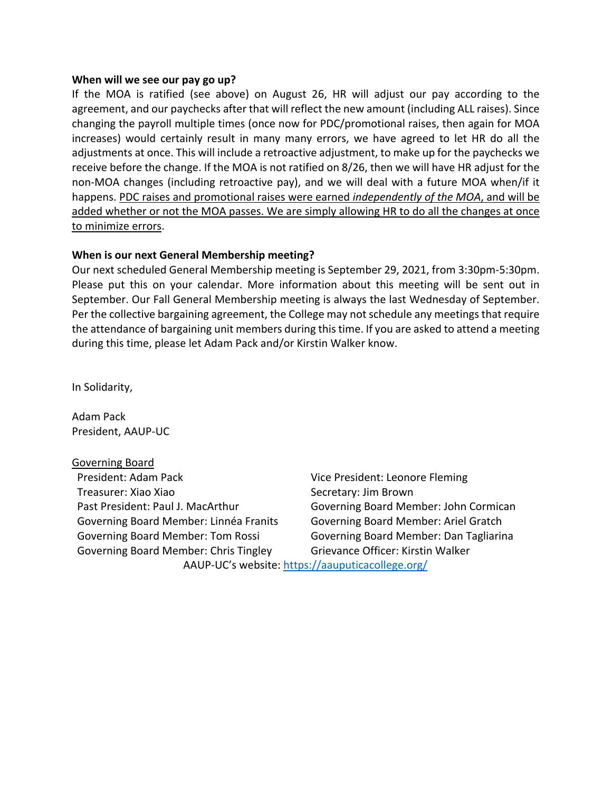#### **When will we see our pay go up?**

If the MOA is ratified (see above) on August 26, HR will adjust our pay according to the agreement, and our paychecks after that will reflect the new amount (including ALL raises). Since changing the payroll multiple times (once now for PDC/promotional raises, then again for MOA increases) would certainly result in many many errors, we have agreed to let HR do all the adjustments at once. This will include a retroactive adjustment, to make up for the paychecks we receive before the change. If the MOA is not ratified on 8/26, then we will have HR adjust for the non-MOA changes (including retroactive pay), and we will deal with a future MOA when/if it happens. PDC raises and promotional raises were earned *independently of the MOA*, and will be added whether or not the MOA passes. We are simply allowing HR to do all the changes at once to minimize errors.

#### **When is our next General Membership meeting?**

Our next scheduled General Membership meeting is September 29, 2021, from 3:30pm-5:30pm. Please put this on your calendar. More information about this meeting will be sent out in September. Our Fall General Membership meeting is always the last Wednesday of September. Per the collective bargaining agreement, the College may not schedule any meetings that require the attendance of bargaining unit members during this time. If you are asked to attend a meeting during this time, please let Adam Pack and/or Kirstin Walker know.

In Solidarity,

Adam Pack President, AAUP-UC

Governing Board President: Adam Pack Vice President: Leonore Fleming Treasurer: Xiao Xiao Secretary: Jim Brown Past President: Paul J. MacArthur Governing Board Member: John Cormican Governing Board Member: Linnéa Franits Governing Board Member: Ariel Gratch Governing Board Member: Tom Rossi Governing Board Member: Dan Tagliarina Governing Board Member: Chris Tingley Grievance Officer: Kirstin Walker

AAUP-UC's website: https://aauputicacollege.org/